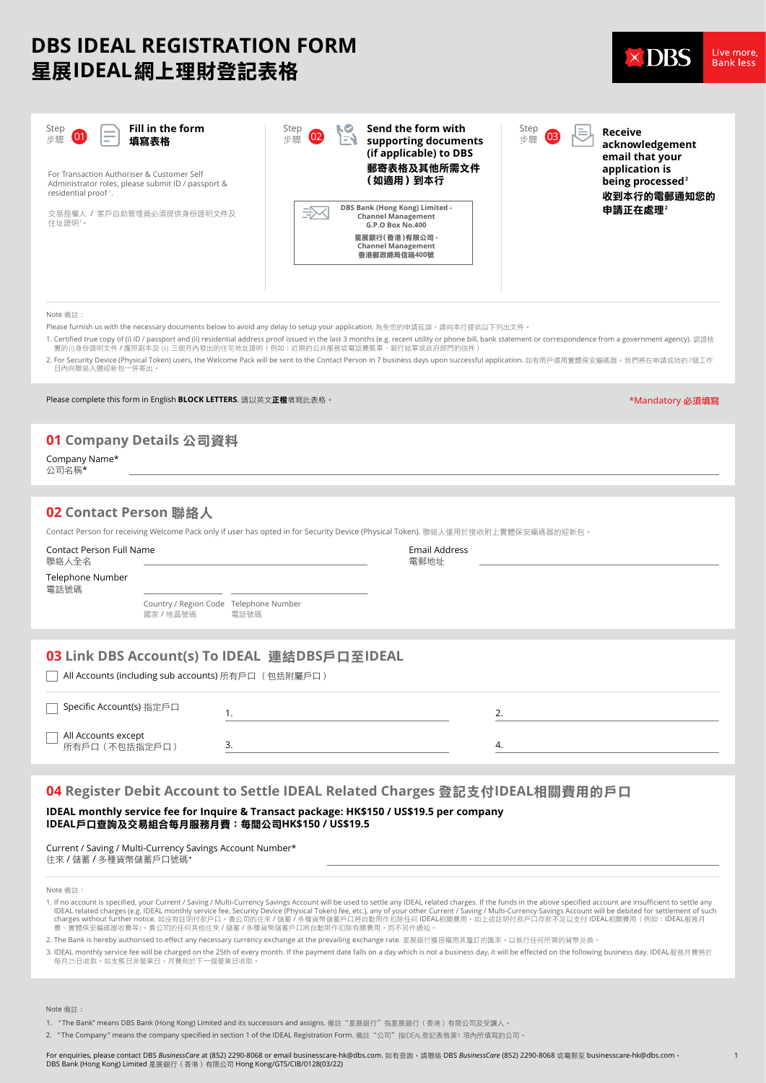# **DBS IDEAL REGISTRATION FORM** 星展**IDEAL**網上理財登記表格



\*Mandatory 必須填寫

| Live more        |  |
|------------------|--|
| <b>Bank les:</b> |  |
|                  |  |

1

| Fill in the form<br>Step<br>÷<br>(01<br>步驟<br>填寫表格<br>$\overline{\phantom{0}}$<br>For Transaction Authoriser & Customer Self<br>Administrator roles, please submit ID / passport &<br>residential proof1. | Send the form with<br>RО<br>Step<br>Step<br>lΞL<br>$\overline{02}$<br>$\overline{0}$<br>EJ<br>步驟<br>步驟<br>supporting documents<br>(if applicable) to DBS<br>郵寄表格及其他所需文件<br>(如適用)到本行 | Receive<br>acknowledgement<br>email that your<br>application is<br>being processed <sup>2</sup><br>收到本行的電郵通知您的 |
|-----------------------------------------------------------------------------------------------------------------------------------------------------------------------------------------------------------|-------------------------------------------------------------------------------------------------------------------------------------------------------------------------------------|----------------------------------------------------------------------------------------------------------------|
| 交易授權人 / 客戶自助管理員必須提供身份證明文件及<br>住址證明1。                                                                                                                                                                      | DBS Bank (Hong Kong) Limited -<br>设<br><b>Channel Management</b><br>G.P.O Box No.400                                                                                                | 申請正在處理~                                                                                                        |
|                                                                                                                                                                                                           | 星展銀行(香港)有限公司 -<br><b>Channel Management</b><br>香港郵政總局信箱400號                                                                                                                         |                                                                                                                |
|                                                                                                                                                                                                           |                                                                                                                                                                                     |                                                                                                                |

#### Note 備註:

Please furnish us with the necessary documents below to avoid any delay to setup your application. 為免您的申請延誤,請向本行提供以下列出文件。

- 1. Certified true copy of (i) ID / passport and (ii) residential address proof issued in the last 3 months (e.g. recent utility or phone bill, bank statement or correspondence from a government agency). 認證核 實的价身份證明文件/護照副本及 简 三個月內發出的住宅地址證明(例如:近期的公基服務或電話費賬單、銀行結單或政府部門的信件`
- 2. For Security Device (Physical Token) users, the Welcome Pack will be sent to the Contact Person in 7 business days upon successful application. 如有用戶選用實體保安編碼器,我們將在申請成功的7個工作 гостиније системати на предавител<br>日內向聯絡人隨迎新包一併寄出。

Please complete this form in English **BLOCK LETTERS**. 請以英文**正楷**填寫此表格。

# **01 Company Details** 公司資料

Company Name\* 公司名稱\*

# **02 Contact Person** 聯絡人

Contact Person for receiving Welcome Pack only if user has opted in for Security Device (Physical Token). 聯絡人僅用於接收附上實體保安編碼器的迎新包。

| <b>Contact Person Full Name</b><br>聯絡人全名                                                             |                                                   |      | <b>Email Address</b><br>電郵地址 |    |
|------------------------------------------------------------------------------------------------------|---------------------------------------------------|------|------------------------------|----|
| Telephone Number<br>電話號碼                                                                             |                                                   |      |                              |    |
|                                                                                                      | Country / Region Code Telephone Number<br>國家/地區號碼 | 電話號碼 |                              |    |
|                                                                                                      |                                                   |      |                              |    |
| 03 Link DBS Account(s) To IDEAL 連結DBS戶口至IDEAL<br>All Accounts (including sub accounts) 所有戶口 (包括附屬戶口) |                                                   |      |                              |    |
| Specific Account(s) 指定戶口                                                                             |                                                   |      |                              |    |
| All Accounts except<br>所有戶口 (不包括指定戶口)                                                                |                                                   | 3.   |                              | 4. |

#### **04 Register Debit Account to Settle IDEAL Related Charges** 登記支付**IDEAL**相關費用的戶口

**IDEAL monthly service fee for Inquire & Transact package: HK\$150 / US\$19.5 per company IDEAL**戶口查詢及交易組合每月服務月費:每間公司**HK\$150 / US\$19.5**

Current / Saving / Multi-Currency Savings Account Number\* 往來 / 儲蓄 / 多種貨幣儲蓄戶口號碼\*

Note 備詳:

- 1. If no account is specified, your Current / Saving / Multi-Currency Savings Account will be used to settle any IDEAL related charges. If the funds in the above specified account are insufficient to settle any<br>IDEAL rela
- 2. The Bank is hereby authorised to effect any necessary currency exchange at the prevailing exchange rate. 星展銀行獲授權用其釐訂的匯率, 以執行任何所需的貨幣兑換。
- 3. IDEAL monthly service fee will be charged on the 25th of every month. If the payment date falls on a day which is not a business day, it will be effected on the following business day. IDEAL服務月費將於<br> 每月25日收取。如支賬日非營業日,月費則

Note 備註:

- 1. "The Bank" means DBS Bank (Hong Kong) Limited and its successors and assigns. 備註"星展銀行"指星展銀行(香港)有限公司及受讓人。
- 2. "The Company" means the company specified in section 1 of the IDEAL Registration Form. 備註"公司"指IDEAL登記表格第1 項內所填寫的公司。

For enquiries, please contact DBS *BusinessCare* at (852) 2290-8068 or email businesscare-hk@dbs.com. 如㈲查詢,請聯絡 DBS *BusinessCare* (852) 2290-8068 或電郵㉃ businesscare-hk@dbs.com。 not enquired, please contact 555 Basinesseare at (552) 2256 8366 or email basinesseare model of the DBS Bank (Hong Kong) Limited 星展銀行 (香港) 有限公司 Hong Kong/GTS/CIB/0128(03/22)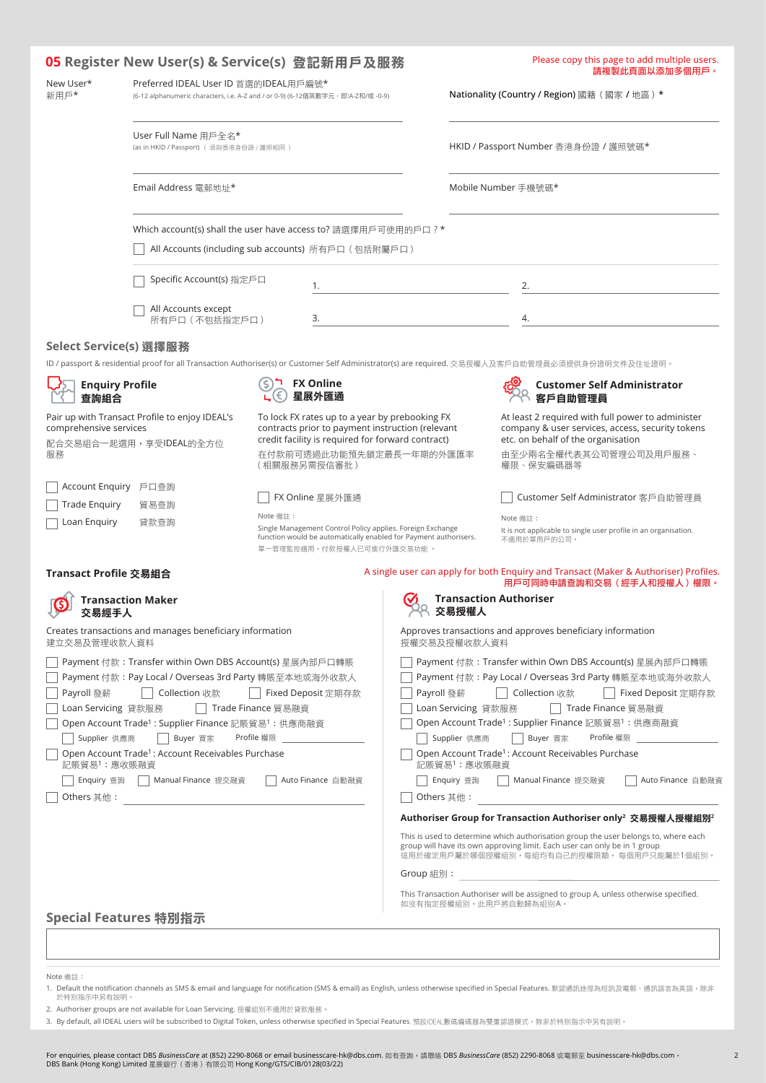|                                                                                |                                                                                                                                                                                                                                                                                                                        | 05 Register New User(s) & Service(s) 登記新用戶及服務                                                                                                                                                       |            |                                                                  | Please copy this page to add multiple users.<br>請複製此頁面以添加多個用戶。                                                                                                                                                                                                                                                                                                                                                            |
|--------------------------------------------------------------------------------|------------------------------------------------------------------------------------------------------------------------------------------------------------------------------------------------------------------------------------------------------------------------------------------------------------------------|-----------------------------------------------------------------------------------------------------------------------------------------------------------------------------------------------------|------------|------------------------------------------------------------------|---------------------------------------------------------------------------------------------------------------------------------------------------------------------------------------------------------------------------------------------------------------------------------------------------------------------------------------------------------------------------------------------------------------------------|
| New User*<br>新用戶*                                                              | Preferred IDEAL User ID 首選的IDEAL用戶編號*<br>(6-12 alphanumeric characters, i.e. A-Z and / or 0-9) (6-12個英數字元, 即:A-Z和/或 -0-9)                                                                                                                                                                                              |                                                                                                                                                                                                     |            |                                                                  | Nationality (Country / Region) 國籍 (國家 / 地區) *                                                                                                                                                                                                                                                                                                                                                                             |
|                                                                                | User Full Name 用戶全名*<br>(as in HKID / Passport) (須與香港身份證 / 護照相同)                                                                                                                                                                                                                                                       |                                                                                                                                                                                                     |            |                                                                  | HKID / Passport Number 香港身份證 / 護照號碼*                                                                                                                                                                                                                                                                                                                                                                                      |
|                                                                                | Email Address 電郵地址*                                                                                                                                                                                                                                                                                                    |                                                                                                                                                                                                     |            |                                                                  | Mobile Number 手機號碼*                                                                                                                                                                                                                                                                                                                                                                                                       |
|                                                                                |                                                                                                                                                                                                                                                                                                                        | Which account(s) shall the user have access to? 請選擇用戶可使用的戶口 ? *                                                                                                                                     |            |                                                                  |                                                                                                                                                                                                                                                                                                                                                                                                                           |
|                                                                                |                                                                                                                                                                                                                                                                                                                        | All Accounts (including sub accounts) 所有戶口 (包括附屬戶口)                                                                                                                                                 |            |                                                                  |                                                                                                                                                                                                                                                                                                                                                                                                                           |
|                                                                                | Specific Account(s) 指定戶口                                                                                                                                                                                                                                                                                               | 1.                                                                                                                                                                                                  |            |                                                                  | 2.                                                                                                                                                                                                                                                                                                                                                                                                                        |
|                                                                                | All Accounts except<br>所有戶口 (不包括指定戶口)                                                                                                                                                                                                                                                                                  | 3.                                                                                                                                                                                                  |            |                                                                  | 4.                                                                                                                                                                                                                                                                                                                                                                                                                        |
| Select Service(s) 選擇服務                                                         |                                                                                                                                                                                                                                                                                                                        |                                                                                                                                                                                                     |            |                                                                  |                                                                                                                                                                                                                                                                                                                                                                                                                           |
|                                                                                |                                                                                                                                                                                                                                                                                                                        |                                                                                                                                                                                                     |            |                                                                  | ID / passport & residential proof for all Transaction Authoriser(s) or Customer Self Administrator(s) are required. 交易授權人及客戶自助管理員必須提供身份證明文件及住址證明。                                                                                                                                                                                                                                                                         |
| <b>Enquiry Profile</b><br>查詢組合                                                 |                                                                                                                                                                                                                                                                                                                        | <b>FX Online</b><br>星展外匯通                                                                                                                                                                           |            |                                                                  | <b>Customer Self Administrator</b><br>客戶自助管理員                                                                                                                                                                                                                                                                                                                                                                             |
| comprehensive services<br>服務                                                   | Pair up with Transact Profile to enjoy IDEAL's<br>配合交易組合一起選用,享受IDEAL的全方位                                                                                                                                                                                                                                               | To lock FX rates up to a year by prebooking FX<br>contracts prior to payment instruction (relevant<br>credit facility is required for forward contract)<br>在付款前可透過此功能預先鎖定最長一年期的外匯匯率<br>(相關服務另需授信審批) |            |                                                                  | At least 2 required with full power to administer<br>company & user services, access, security tokens<br>etc. on behalf of the organisation<br>由至少兩名全權代表其公司管理公司及用戶服務、<br>權限、保安編碼器等                                                                                                                                                                                                                                        |
| Account Enquiry 戶口查詢                                                           |                                                                                                                                                                                                                                                                                                                        |                                                                                                                                                                                                     |            |                                                                  |                                                                                                                                                                                                                                                                                                                                                                                                                           |
| <b>Trade Enquiry</b>                                                           | 貿易查詢                                                                                                                                                                                                                                                                                                                   | FX Online 星展外匯通<br>Note 備註:                                                                                                                                                                         |            |                                                                  | Customer Self Administrator 客戶自助管理員                                                                                                                                                                                                                                                                                                                                                                                       |
| Loan Enquiry                                                                   | 貸款查詢                                                                                                                                                                                                                                                                                                                   | Single Management Control Policy applies. Foreign Exchange<br>function would be automatically enabled for Payment authorisers.<br>單一管理監控適用。付款授權人已可進行外匯交易功能。                                         |            |                                                                  | Note 備註:<br>It is not applicable to single user profile in an organisation.<br>不適用於單用戶的公司。                                                                                                                                                                                                                                                                                                                                |
| Transact Profile 交易組合                                                          |                                                                                                                                                                                                                                                                                                                        |                                                                                                                                                                                                     |            |                                                                  | A single user can apply for both Enquiry and Transact (Maker & Authoriser) Profiles.<br>用戶可同時申請查詢和交易(經手人和授權人)權限。                                                                                                                                                                                                                                                                                                          |
| 交易經手人                                                                          | Transaction Maker                                                                                                                                                                                                                                                                                                      |                                                                                                                                                                                                     |            | 交易将權人                                                            | <b>Transaction Authoriser</b>                                                                                                                                                                                                                                                                                                                                                                                             |
| 建立交易及管理收款人資料                                                                   | Creates transactions and manages beneficiary information                                                                                                                                                                                                                                                               |                                                                                                                                                                                                     |            | 授權交易及授權收款人資料                                                     | Approves transactions and approves beneficiary information                                                                                                                                                                                                                                                                                                                                                                |
| Payroll 發薪<br>Loan Servicing 貸款服務<br>Supplier 供應商<br>記賬貿易1:應收賬融資<br>Enquiry 查詢 | Payment 付款:Transfer within Own DBS Account(s) 星展內部戶口轉賬<br>Payment 付款: Pay Local / Overseas 3rd Party 轉賬至本地或海外收款人<br>Collection 收款<br>Open Account Trade <sup>1</sup> : Supplier Finance 記賬貿易 <sup>1</sup> : 供應商融資<br>Buyer 買家<br>Open Account Trade <sup>1</sup> : Account Receivables Purchase<br>Manual Finance 提交融資 | Fixed Deposit 定期存款<br>Trade Finance 貿易融資<br>Profile 權限<br>Auto Finance 自動融資                                                                                                                         | Payroll 發薪 | Loan Servicing 貸款服務<br>Supplier 供應商<br>記賬貿易1:應收賬融資<br>Enquiry 查詢 | Payment 付款:Transfer within Own DBS Account(s) 星展內部戶口轉賬<br>Payment 付款: Pay Local / Overseas 3rd Party 轉賬至本地或海外收款人<br>Collection 收款<br>Fixed Deposit 定期存款<br>Trade Finance 留易融資<br>Open Account Trade <sup>1</sup> : Supplier Finance 記賬貿易 <sup>1</sup> : 供應商融資<br>Buyer 買家<br>Profile 權限<br>Open Account Trade <sup>1</sup> : Account Receivables Purchase<br>Auto Finance 自動融資<br>Manual Finance 提交融資                     |
| Others 其他:                                                                     |                                                                                                                                                                                                                                                                                                                        |                                                                                                                                                                                                     |            | Others 其他:                                                       |                                                                                                                                                                                                                                                                                                                                                                                                                           |
|                                                                                |                                                                                                                                                                                                                                                                                                                        |                                                                                                                                                                                                     | Group 組別:  |                                                                  | Authoriser Group for Transaction Authoriser only <sup>2</sup> 交易授權人授權組別 <sup>2</sup><br>This is used to determine which authorisation group the user belongs to, where each<br>group will have its own approving limit. Each user can only be in 1 group,<br>這用於確定用戶屬於哪個授權組別,每組均有自己的授權限額。 每個用戶只能屬於1個組別。<br>This Transaction Authoriser will be assigned to group A, unless otherwise specified.<br>如沒有指定授權組別,此用戶將自動歸為組別A。 |
|                                                                                | Special Features 特別指示                                                                                                                                                                                                                                                                                                  |                                                                                                                                                                                                     |            |                                                                  |                                                                                                                                                                                                                                                                                                                                                                                                                           |

Note 備註:

- 1. Default the notification channels as SMS & email and language for notification (SMS & email) as English, unless otherwise specified in Special Features. 默認通訊途徑為短訊及電郵、通訊語言為英語,除非<br> 於特別指示中另有説明。
- 2. Authoriser groups are not available for Loan Servicing. 授權組別不適用於貸款服務。
- 3. By default, all IDEAL users will be subscribed to Digital Token, unless otherwise specified in Special Features, 預設DEAL數碼編碼器為雙重認證模式,除非於特別指示中另有說明。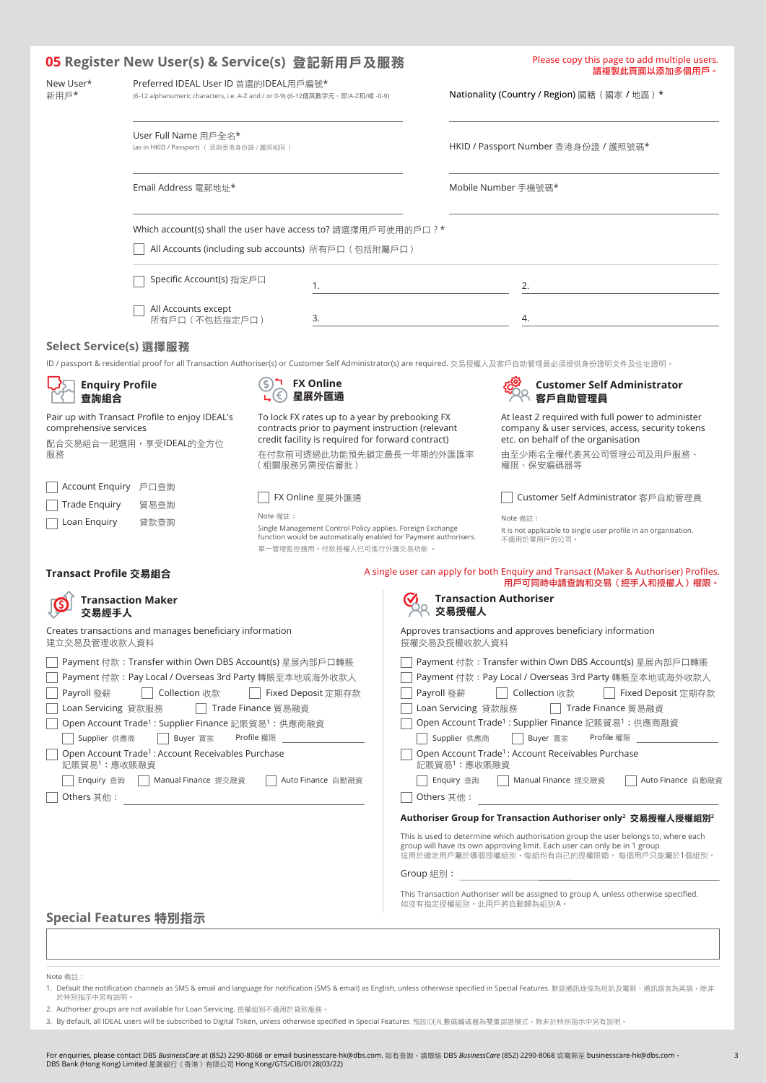|                                |                                                                                                                           | 05 Register New User(s) & Service(s) 登記新用戶及服務                                                                                                                                                       |            |                                                | Please copy this page to add multiple users.<br>請複製此頁面以添加多個用戶。                                                                                                                                                  |
|--------------------------------|---------------------------------------------------------------------------------------------------------------------------|-----------------------------------------------------------------------------------------------------------------------------------------------------------------------------------------------------|------------|------------------------------------------------|-----------------------------------------------------------------------------------------------------------------------------------------------------------------------------------------------------------------|
| New User*<br>新用戶*              | Preferred IDEAL User ID 首選的IDEAL用戶編號*<br>(6-12 alphanumeric characters, i.e. A-Z and / or 0-9) (6-12個英數字元, 即:A-Z和/或 -0-9) |                                                                                                                                                                                                     |            | Nationality (Country / Region) 國籍 (國家 / 地區 ) * |                                                                                                                                                                                                                 |
|                                | User Full Name 用戶全名*<br>(as in HKID / Passport) ( 須與香港身份證 / 護照相同 )                                                        |                                                                                                                                                                                                     |            |                                                | HKID / Passport Number 香港身份證 / 護照號碼*                                                                                                                                                                            |
|                                | Email Address 電郵地址*                                                                                                       |                                                                                                                                                                                                     |            |                                                | Mobile Number 手機號碼*                                                                                                                                                                                             |
|                                |                                                                                                                           | Which account(s) shall the user have access to? 請選擇用戶可使用的戶口 ? *                                                                                                                                     |            |                                                |                                                                                                                                                                                                                 |
|                                |                                                                                                                           | All Accounts (including sub accounts) 所有戶口 (包括附屬戶口)                                                                                                                                                 |            |                                                |                                                                                                                                                                                                                 |
|                                | Specific Account(s) 指定戶口                                                                                                  | 1.                                                                                                                                                                                                  |            |                                                | 2.                                                                                                                                                                                                              |
|                                | All Accounts except<br>所有戶口(不包括指定戶口)                                                                                      | 3.                                                                                                                                                                                                  |            |                                                | 4.                                                                                                                                                                                                              |
| Select Service(s) 選擇服務         |                                                                                                                           |                                                                                                                                                                                                     |            |                                                |                                                                                                                                                                                                                 |
|                                |                                                                                                                           |                                                                                                                                                                                                     |            |                                                | ID / passport & residential proof for all Transaction Authoriser(s) or Customer Self Administrator(s) are required. 交易授權人及客戶自助管理員必須提供身份證明文件及住址證明。                                                               |
| <b>Enquiry Profile</b><br>查詢組合 |                                                                                                                           | <b>FX Online</b><br>星展外匯通                                                                                                                                                                           |            |                                                | <b>Customer Self Administrator</b><br>客戶自助管理員                                                                                                                                                                   |
| comprehensive services<br>服務   | Pair up with Transact Profile to enjoy IDEAL's<br>配合交易組合一起選用,享受IDEAL的全方位                                                  | To lock FX rates up to a year by prebooking FX<br>contracts prior to payment instruction (relevant<br>credit facility is required for forward contract)<br>在付款前可透過此功能預先鎖定最長一年期的外匯匯率<br>(相關服務另需授信審批) |            |                                                | At least 2 required with full power to administer<br>company & user services, access, security tokens<br>etc. on behalf of the organisation<br>由至少兩名全權代表其公司管理公司及用戶服務、<br>權限、保安編碼器等                              |
| Account Enquiry 戶口查詢           |                                                                                                                           | FX Online 星展外匯通                                                                                                                                                                                     |            |                                                | Customer Self Administrator 客戶自助管理員                                                                                                                                                                             |
| <b>Trade Enquiry</b>           | 貿易查詢                                                                                                                      | Note 備註:                                                                                                                                                                                            |            |                                                | Note 備註:                                                                                                                                                                                                        |
| Loan Enquiry                   | 貸款查詢                                                                                                                      | Single Management Control Policy applies. Foreign Exchange<br>function would be automatically enabled for Payment authorisers.<br>單一管理監控適用。付款授權人已可進行外匯交易功能。                                         |            |                                                | It is not applicable to single user profile in an organisation.<br>不適用於單用戶的公司。                                                                                                                                  |
| Transact Profile 交易組合          |                                                                                                                           |                                                                                                                                                                                                     |            |                                                | A single user can apply for both Enquiry and Transact (Maker & Authoriser) Profiles.<br>用戶可同時申請查詢和交易(經手人和授權人)權限。                                                                                                |
| 交易經手人                          | <b>Transaction Maker</b>                                                                                                  |                                                                                                                                                                                                     |            | 交易将權人                                          | <b>Transaction Authoriser</b>                                                                                                                                                                                   |
| 建立交易及管理收款人資料                   | Creates transactions and manages beneficiary information                                                                  |                                                                                                                                                                                                     |            | 授權交易及授權收款人資料                                   | Approves transactions and approves beneficiary information                                                                                                                                                      |
|                                | Payment 付款:Transfer within Own DBS Account(s) 星展內部戶口轉賬                                                                    |                                                                                                                                                                                                     |            |                                                | Payment 付款: Transfer within Own DBS Account(s) 星展內部戶口轉賬                                                                                                                                                         |
| Payroll 發薪                     | Payment 付款: Pay Local / Overseas 3rd Party 轉賬至本地或海外收款人<br>Collection 收款                                                   | Fixed Deposit 定期存款                                                                                                                                                                                  | Payroll 發薪 |                                                | Payment 付款: Pay Local / Overseas 3rd Party 轉賬至本地或海外收款人<br>Fixed Deposit 定期存款<br>Collection 收款                                                                                                                   |
| Loan Servicing 貸款服務            |                                                                                                                           | Trade Finance 貿易融資                                                                                                                                                                                  |            | Loan Servicing 貸款服務                            | Trade Finance 留易融資                                                                                                                                                                                              |
|                                | Open Account Trade <sup>1</sup> : Supplier Finance 記賬貿易 <sup>1</sup> : 供應商融資                                              |                                                                                                                                                                                                     |            |                                                | Open Account Trade <sup>1</sup> : Supplier Finance 記賬貿易 <sup>1</sup> : 供應商融資                                                                                                                                    |
| Supplier 供應商                   | Buyer 買家                                                                                                                  | Profile 權限                                                                                                                                                                                          |            | Supplier 供應商                                   | Buyer 買家<br>Profile 權限                                                                                                                                                                                          |
| 記賬貿易1:應收賬融資                    | Open Account Trade <sup>1</sup> : Account Receivables Purchase                                                            |                                                                                                                                                                                                     |            | 記賬貿易1:應收賬融資                                    | Open Account Trade <sup>1</sup> : Account Receivables Purchase                                                                                                                                                  |
| Enquiry 查詢                     | Manual Finance 提交融資                                                                                                       | Auto Finance 自動融資                                                                                                                                                                                   |            | Enquiry 查詢                                     | Auto Finance 自動融資<br>Manual Finance 提交融資                                                                                                                                                                        |
| Others 其他:                     |                                                                                                                           |                                                                                                                                                                                                     |            | Others 其他:                                     |                                                                                                                                                                                                                 |
|                                |                                                                                                                           |                                                                                                                                                                                                     |            |                                                | Authoriser Group for Transaction Authoriser only $^{\rm 2}$ 交易授權人授權組別 $^{\rm 2}$                                                                                                                                |
|                                |                                                                                                                           |                                                                                                                                                                                                     |            |                                                | This is used to determine which authorisation group the user belongs to, where each<br>group will have its own approving limit. Each user can only be in 1 group,<br>這用於確定用戶屬於哪個授權組別,每組均有自己的授權限額。 每個用戶只能屬於1個組別。 |
|                                |                                                                                                                           |                                                                                                                                                                                                     | Group 組別:  |                                                |                                                                                                                                                                                                                 |
|                                |                                                                                                                           |                                                                                                                                                                                                     |            |                                                | This Transaction Authoriser will be assigned to group A, unless otherwise specified.<br>如沒有指定授權組別,此用戶將自動歸為組別A。                                                                                                  |
|                                | Special Features 特別指示                                                                                                     |                                                                                                                                                                                                     |            |                                                |                                                                                                                                                                                                                 |

Note 備註:

- 1. Default the notification channels as SMS & email and language for notification (SMS & email) as English, unless otherwise specified in Special Features. 默認通訊途徑為短訊及電郵、通訊語言為英語,除非<br> 於特別指示中另有説明。
- 2. Authoriser groups are not available for Loan Servicing. 授權組別不適用於貸款服務。
- 3. By default, all IDEAL users will be subscribed to Digital Token, unless otherwise specified in Special Features, 預設DEAL數碼編碼器為雙重認證模式,除非於特別指示中另有說明。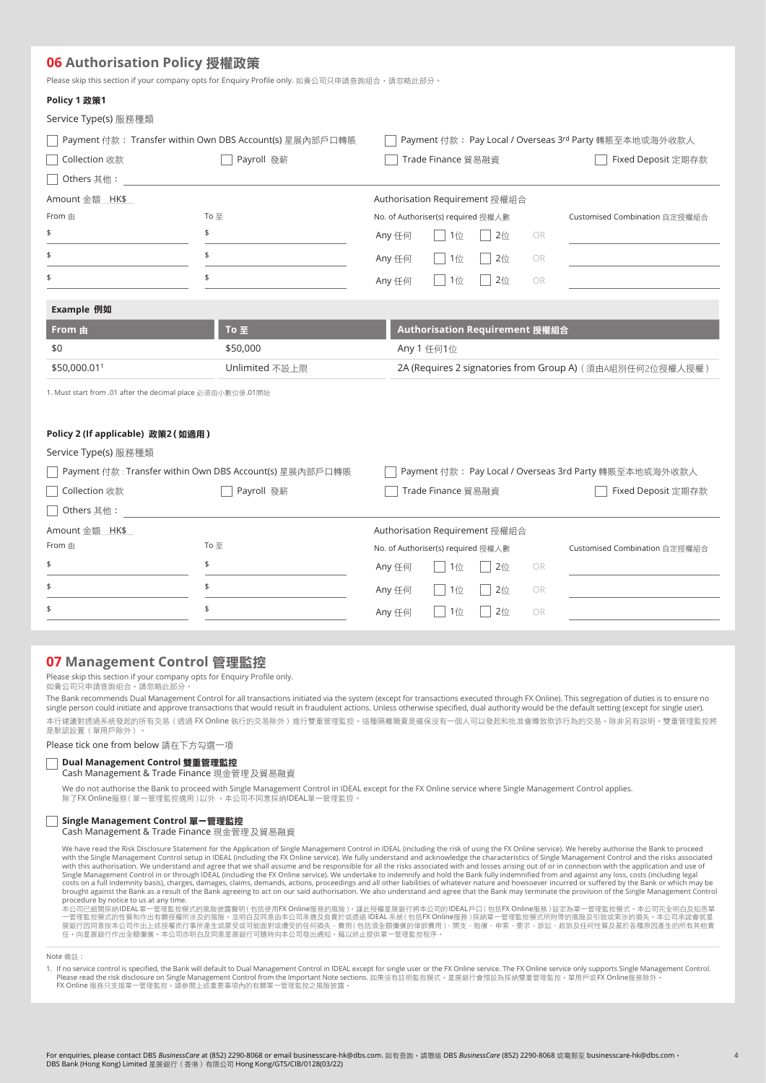# **06 Authorisation Policy** 授權政策

Please skip this section if your company opts for Enquiry Profile only. 如貴公司只申請查詢組合,請忽略此部分。

| Policy 1 政策1                                                |                                                         |                                    |                                |                  |           |                                                           |
|-------------------------------------------------------------|---------------------------------------------------------|------------------------------------|--------------------------------|------------------|-----------|-----------------------------------------------------------|
| Service Type(s) 服務種類                                        |                                                         |                                    |                                |                  |           |                                                           |
|                                                             | Payment 付款: Transfer within Own DBS Account(s) 星展內部戶口轉賬 |                                    |                                |                  |           | Payment 付款: Pay Local / Overseas 3rd Party 轉賬至本地或海外收款人    |
| Collection 收款                                               | Payroll 發薪                                              |                                    | Trade Finance 貿易融資             |                  |           | Fixed Deposit 定期存款                                        |
| Others 其他:                                                  |                                                         |                                    |                                |                  |           |                                                           |
| Amount 金額 HK\$                                              |                                                         | Authorisation Requirement 授權組合     |                                |                  |           |                                                           |
| From 由                                                      | To至                                                     | No. of Authoriser(s) required 授權人數 |                                |                  |           | Customised Combination 自定授權組合                             |
| \$                                                          | \$                                                      | Any 任何                             | $1$ 位                          | $2$ 位            | <b>OR</b> |                                                           |
| \$                                                          | \$                                                      | Any 任何                             | $ $ 1位                         | $2 \frac{A}{12}$ | OR        |                                                           |
| \$                                                          | \$                                                      | Any 任何                             | $ $ 1位                         | $2 \frac{A}{12}$ | <b>OR</b> |                                                           |
| Example 例如                                                  |                                                         |                                    |                                |                  |           |                                                           |
| From 由                                                      | To 至                                                    |                                    | Authorisation Requirement 授權組合 |                  |           |                                                           |
| \$0                                                         | \$50,000                                                |                                    | Any 1 任何1位                     |                  |           |                                                           |
| \$50,000.011                                                | Unlimited 不設上限                                          |                                    |                                |                  |           | 2A (Requires 2 signatories from Group A) (須由A組別任何2位授權人授權) |
| 1. Must start from .01 after the decimal place 必須由小數位後.01開始 |                                                         |                                    |                                |                  |           |                                                           |
| Policy 2 (If applicable) 政策2 (如適用)                          |                                                         |                                    |                                |                  |           |                                                           |
| Service Type(s) 服務種類                                        |                                                         |                                    |                                |                  |           |                                                           |
|                                                             | Payment 付款: Transfer within Own DBS Account(s) 星展內部戶口轉賬 |                                    |                                |                  |           | Payment 付款: Pay Local / Overseas 3rd Party 轉賬至本地或海外收款人    |
| Collection 收款                                               | Payroll 發薪                                              |                                    | Trade Finance 貿易融資             |                  |           | Fixed Deposit 定期存款                                        |
| Others 其他:                                                  |                                                         |                                    |                                |                  |           |                                                           |

| Amount 金額 HK\$ |      | Authorisation Requirement 授權組合     |                               |
|----------------|------|------------------------------------|-------------------------------|
| From $\pm$     | To 至 | No. of Authoriser(s) required 授權人數 | Customised Combination 自定授權組合 |
|                |      | Any 任何     1位       2位 OR          |                               |
|                |      | Any 任何     1位       2位 OR          |                               |
|                |      | Any 仟何     1位     2位 OR            |                               |
|                |      |                                    |                               |

# **07 Management Control** 管理監控

Please skip this section if your company opts for Enquiry Profile only.<br>如貴公司只申請查詢組合,請忽略此部分。

The Bank recommends Dual Management Control for all transactions initiated via the system (except for transactions executed through FX Online). This segregation of duties is to ensure no<br>single person could initiate and ap

本行建議對透過系統發起的所有交易(透過 FX Online 執行的交易除外)進行雙重管理監控。這種隔離職責是確保沒有一個人可以發起和批准會導致欺詐行為的交易。除非另有説明,雙重管理監控將<br>是默認設置(單用戶除外)。

Please tick one from below 請在下方勾選一項

# **Dual Management Control** 雙重管理監控

**Cash Management & Trade Finance 現金管理及貿易融資** 

We do not authorise the Bank to proceed with Single Management Control in IDEAL except for the FX Online service where Single Management Control applies.<br>除了FX Online服務 ( 單一管理監控適用 ) 以外 ,本公司不同意採納IDEAL單一管理監控。

#### **Single Management Control** 單一管理監控

Cash Management & Trade Finance 現金管理 及貿易融資

We have read the Risk Disclosure Statement for the Application of Single Management Control in IDEAL (including the risk of using the FX Online service). We hereby authorise the Bank to proceed with the Single Management Control setup in IDEAL (including the FX Online service). We fully understand and acknowledge the characteristics of Single Management Control and the risks associated with this authorisation. We procedure by notice to us at any time.

本公司已細閱採納IDEAL單一管理監控模式的風險披露聲明 ( 包括使用FX Online服務的風險 ),謹此授權星展銀行將本公司的IDEAL戶口 ( 包括FX Online服務 )設定為單一管理監控模式。本公司完全明白及知悉單<br>一管理監控模式的性質和作出有關授權所涉及的風險,並明白及同意由本公司承擔及負責於或透過 IDEAL 系統 ( 包括FX Online服務 ) 採納單一管理監控模式所附帶的風險及引致或索涉的損失。本公司承諾會就星<br>展

Note 備註:

1. If no service control is specified, the Bank will default to Dual Management Control in IDEAL except for single user or the FX Online service. The FX Online service only supports Single Management Control. Please read the risk disclosure on Single Management Control from the Important Note sections. 如果没有註明監控模式,星展銀行會預設為採納雙重管理監控,單用戶或FX Online服務除外。<br>FX Online 服務只支援單一管理監控,請參閲上述重要事項內的有關單一管理監控之風險披露。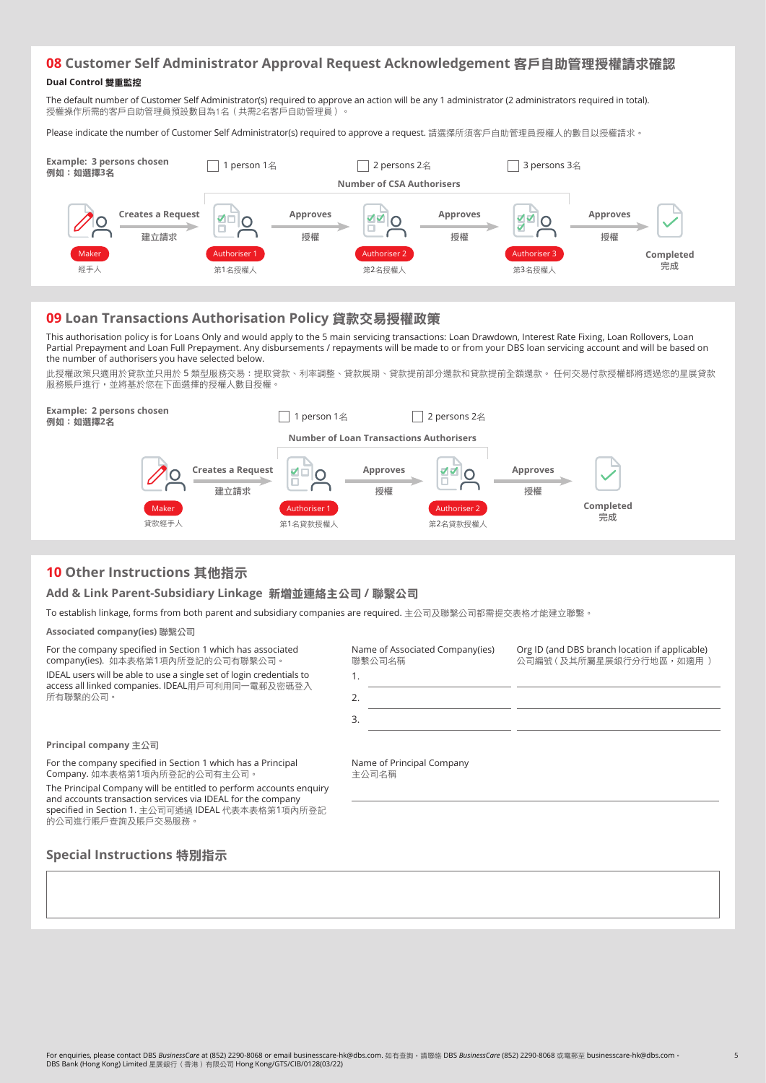# **08 Customer Self Administrator Approval Request Acknowledgement** 客戶自助管理授權請求確認

#### **Dual Control** 雙重監控

The default number of Customer Self Administrator(s) required to approve an action will be any 1 administrator (2 administrators required in total). 授權操作所需的客戶自助管理員預設數目為1名 (共需2名客戶自助管理員)

Please indicate the number of Customer Self Administrator(s) required to approve a request. 請選擇所須客戶自助管理員授權人的數目以授權請求。



# **09 Loan Transactions Authorisation Policy** 貸款交易授權政策

This authorisation policy is for Loans Only and would apply to the 5 main servicing transactions: Loan Drawdown, Interest Rate Fixing, Loan Rollovers, Loan Partial Prepayment and Loan Full Prepayment. Any disbursements / repayments will be made to or from your DBS loan servicing account and will be based on the number of authorisers you have selected below.

此授權政策只適用於貸款並只用於 5 類型服務交易:提取貸款、利率調整、貸款展期、貸款提前部分還款和貸款提前全額還款。 任何交易付款授權都將透過您的星展貸款 服務賬戶進行,並將基於您在下面選擇的授權人數目授權。



Name of Principal Company

主公司名稱

# **10 Other Instructions** 其他指示

# **Add & Link Parent-Subsidiary Linkage** 新增並連絡主公司 **/** 聯繄公司

To establish linkage, forms from both parent and subsidiary companies are required. 主公司及聯繫公司都需提交表格才能建立聯繫。

**Associated company(ies)** 聯繄公司

For the company specified in Section 1 which has associated company(ies). 如本表格第1項內所登記的公司有聯繫公司。

IDEAL users will be able to use a single set of login credentials to access all linked companies. IDEAL用戶可利用同一電郵及密碼登入 所有聯繫的公司。

| Name of Associated Company(ies)<br>聯繫公司名稱 | Org ID (and DBS branch location if applicable)<br>公司編號 ( 及其所屬星展銀行分行地區, 如滴用 ) |
|-------------------------------------------|------------------------------------------------------------------------------|
| 1.                                        |                                                                              |
| 2.                                        |                                                                              |
| 3.                                        |                                                                              |
|                                           |                                                                              |

5

**Principal company** 主公司

For the company specified in Section 1 which has a Principal Company. 如本表格第1項內所登記的公司有主公司。

The Principal Company will be entitled to perform accounts enquiry and accounts transaction services via IDEAL for the company specified in Section 1. 主公司可通過 IDEAL 代表本表格第1項內所登記 的公司進行賬戶查詢及賬戶交易服務。

# **Special Instructions** 特別指示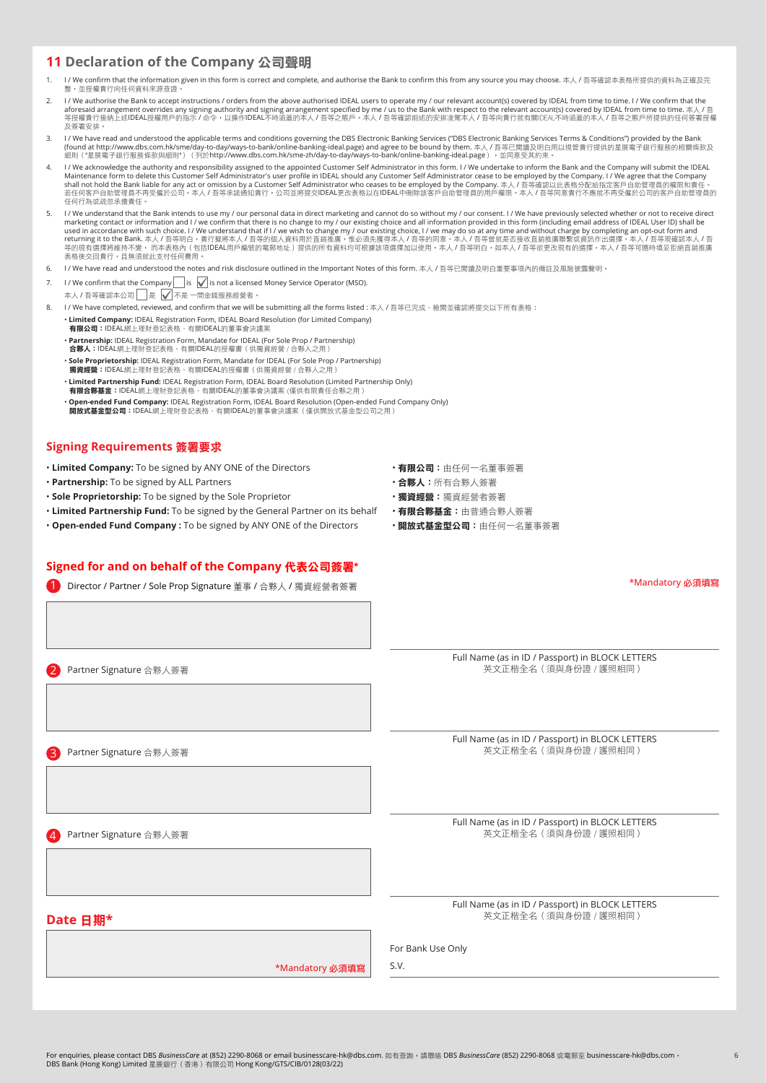# **11 Declaration of the Company** 公司聲明

- 1/ We confirm that the information given in this form is correct and complete, and authorise the Bank to confirm this from any source you may choose. 本人 / 吾等確認本表格所提供的資料為正確及完 整,並授權貴行向任何資料來源查證
- I/We authorise the Bank to accept instructions / orders from the above authorised IDEAL users to operate my / our relevant account(s) covered by IDEAL from time to time. I / We confirm that the aforesaid arrangement overrides any signing authority and signing arrangement specified by me / us to the Bank with respect to the relevant account(s) covered by IDEAL from time to time. 本人 / 吾<br>等授權貴行接納上述IDEAL授權用戶的指示 / 命令, 及簽署安排。
- 3. I / We have read and understood the applicable terms and conditions governing the DBS Electronic Banking Services ("DBS Electronic Banking Services Terms & Conditions") provided by the Bank (found at http://www.dbs.com.hk/sme/day-to-day/ways-to-bank/online-banking-ideal.page) and agree to be bound by them. 本人 / 吾等已閲讀及明白用以規管貴行提供的星展電子銀行服務的相關條款及<br>細則("星展電子銀行服務條款與細則" )(列於http://www.dbs.com.hk/sme-zh/day-to-day/way
- 4. I / We acknowledge the authority and responsibility assigned to the appointed Customer Self Administrator in this form. I / We undertake to inform the Bank and the Company will submit the IDEAL Maintenance form to delete this Customer Self Administrator's user profile in IDEAL should any Customer Self Administrator cease to be employed by the Company. I / We agree that the Company<br>shall not hold the Bank liable 若仟何客戶自助管理員不再受僱於公司,本人/吾等承諾通知貴行,公司並將提交IDEAL更改表格以在IDEAL中刪除該客戶自助管理員的用戶權限。本人/吾等同意貴行不應就不再受僱於公司的客戶自助管理員的 任何行為或疏忽承擔責任。
- I/We understand that the Bank intends to use my / our personal data in direct marketing and cannot do so without my / our consent. I/We have previously selected whether or not to receive direct marketing contact or information and I / we confirm that there is no change to my / our existing choice and all information provided in this form (including email address of IDEAL User ID) shall be<br>used in accordance wit 、"……"台湾牛岛流域,有些,而不获福行、巴加
- 6. I / We have read and understood the notes and risk disclosure outlined in the Important Notes of this form. 本人 / 吾等尸閻讀及明白重要事項內的備註及風險披露聲明。
- 7. I / We confirm that the Company is  $\sqrt{\ }$  is not a licensed Money Service Operator (MSO).
- 本人 / 吾等確認本公司 是 不是 一間金錢服務經營者
- 8. I/ We have completed, reviewed, and confirm that we will be submitting all the forms listed : 本人 / 吾等已完成、檢閱並確認將提交以下所有表格:
	- **Limited Company:** IDEAL Registration Form, IDEAL Board Resolution (for Limited Company) 有限公司:IDEALᆩΰ౩ิߒਿȃ有ᜰIDEALޟီٱؚོដਰ
		- **Partnership:** IDEAL Registration Form, Mandate for IDEAL (For Sole Prop / Partnership) 合夥人:IDEAL網上理財登記表格、有關IDEAL的授權書(供獨資經營/合夥人之用 • **Sole Proprietorship:** IDEAL Registration Form, Mandate for IDEAL (For Sole Prop / Partnership)
		- 獨資經營:IDEAL網上理財登記表格、有關IDEAL的授權書(供獨資經營/合夥人之用)
		- **Limited Partnership Fund:** IDEAL Registration Form, IDEAL Board Resolution (Limited Partnership Only)<br>- **有限合夥基金:**IDEAL網上理財登記表格、有關IDEAL的董事會決議案 (僅供有限責任合夥之用 )
		- • **Open-ended Fund Company:** IDEAL Registration Form, IDEAL Board Resolution (Open-ended Fund Company Only) - Persons and the sempan, we have also an anome the semi-the semi-theorem, persons and the semi-theorem.<br>開放式基金型公司:IDEAL網上理財登記表格、有關IDEAL的董事會決議案(僅供開放式基金型公司之用)

# **Signing Requirements** 簽署要求

- Limited Company: To be signed by ANY ONE of the Directors • 有限公司:由任何一名董事簽署
- Partnership: To be signed by ALL Partners  **• • • 合夥人:** 所有合夥人簽署
- Sole Proprietorship: To be signed by the Sole Proprietor  **The Sole Proprietor 獨資經營:** 獨資經營者簽署
- Limited Partnership Fund: To be signed by the General Partner on its behalf 有限合夥基金: 由普通合夥人簽署
- Open-ended Fund Company : To be signed by ANY ONE of the Directors • 開放式基金型公司: 由任何一名董事簽署

#### **Signed for and on behalf of the Company** ㈹表公司簽署\*

1 Director / Partner / Sole Prop Signature 董事 / 合夥人 / 獨資經營者簽署

Full Name (as in ID / Passport) in BLOCK LETTERS

\*Mandatory 必須填寫

2 Partner Signature 合夥人簽署

3 Partner Signature 合夥人簽署

4 Partner Signature 合夥人簽署

英文正楷全名 (須與身份證 / 護照相同)

Full Name (as in ID / Passport) in BLOCK LETTERS **英文正楷全名 (須與身份證 / 護照相同)** 

Full Name (as in ID / Passport) in BLOCK LETTERS 英文正楷全名 (須與身份證 / 護照相同)

**Date** 日期**\***

Full Name (as in ID / Passport) in BLOCK LETTERS 英文正楷全名 (須與身份證 / 護照相同)

For Bank Use Only

\*Mandatory 必須填寫

S.V.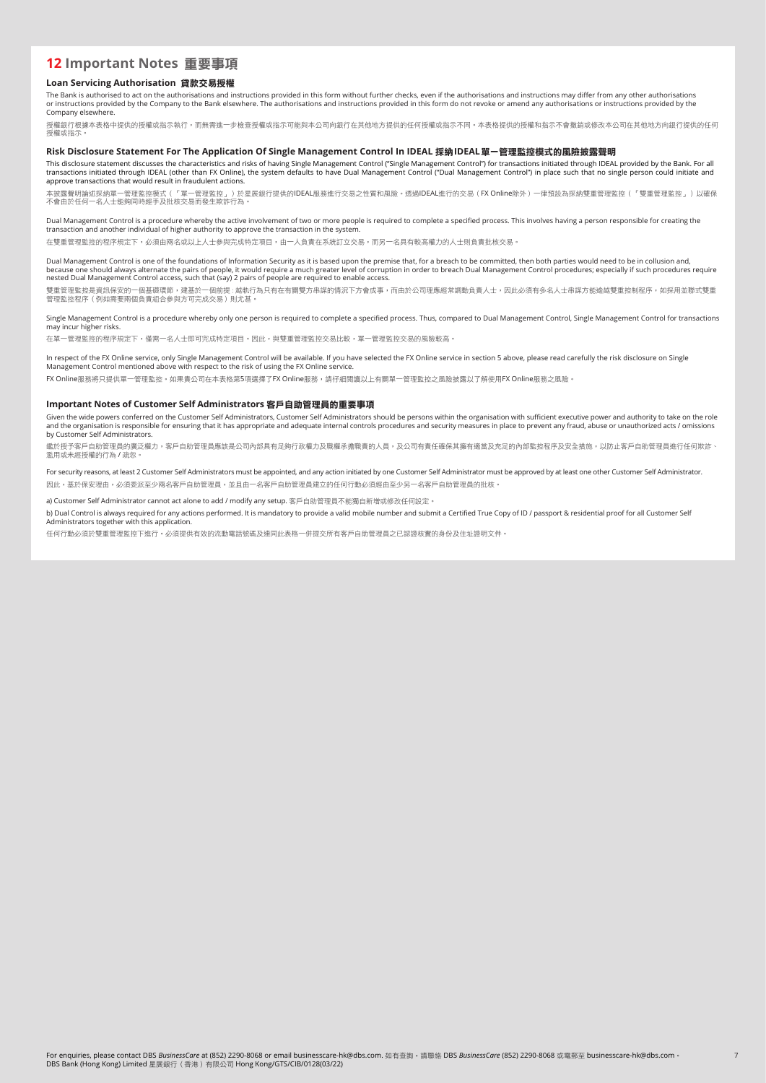# **12 Important Notes** 重要事項

#### **Loan Servicing Authorisation** 貸款交易授權

The Bank is authorised to act on the authorisations and instructions provided in this form without further checks, even if the authorisations and instructions may differ from any other authorisations<br>or instructions provid

授權銀行根據本表格中提供的授權或指示執行,而無需推一步檢杳授權或指示可能與本公司向銀行在其他地方提供的任何授權或指示不同。本表格提供的授離和指示不會撤銷或修改本公司在其他地方向銀行提供的任何 授權或指示

#### **Risk Disclosure Statement For The Application Of Single Management Control In IDEAL** 採納**IDEAL**單一管理監控模式的風險披露聲明

This disclosure statement discusses the characteristics and risks of having Single Management Control ("Single Management Control") for transactions initiated through IDEAL provided by the Bank. For al<br>transactions initiat

,<br>本披露聲明論述採納單一管理監控模式(「單一管理監控」)於星展銀行提供的IDEAL服務進行交易之性質和風險。透過IDEAL進行的交易(FX Online除外)一律預設為採納雙重管理監控(「雙重管理監控」)以確保 ・<br>不會由於任何一名人士能夠同時經手及批核交易而發生欺詐行為

Dual Management Control is a procedure whereby the active involvement of two or more people is required to complete a specified process. This involves having a person responsible for creating the transaction and another individual of higher authority to approve the transaction in the system.

在雙重管理監控的程序規定下,必須由兩名或以上人士參與完成特定項目,由一人負責在系統訂立交易,而另一名具有較高權力的人士則負責批核交易。

Dual Management Control is one of the foundations of Information Security as it is based upon the premise that, for a breach to be committed, then both parties would need to be in collusion and, because one should always alternate the pairs of people, it would require a much greater level of corruption in order to breach Dual Management Control procedures; especially if such procedures require<br>nested Dual Manageme

雙重管理監控是資訊保安的一個基礎環節,建基於一個前提﹔越軌行為只有在有關雙方串謀的情況下方會成事,而由於公司理應經常調動負責人士,因此必須有多名人士串謀方能逾越雙重控制程序,如採用並聯式雙重 (《エロコニル》の『アメリュー』)、《エロコニル》、『コルシン』

Single Management Control is a procedure whereby only one person is required to complete a specified process. Thus, compared to Dual Management Control, Single Management Control for transactions may incur higher risks.

在單一管理監控的程序規定下,僅需一名人士即可完成特定項目。因此,與雙重管理監控交易比較,單一管理監控交易的風險較高。

In respect of the FX Online service, only Single Management Control will be available. If you have selected the FX Online service in section 5 above, please read carefully the risk disclosure on Single Management Control mentioned above with respect to the risk of using the FX Online service.

FX Online服務將只提供單一管理監控。如果貴公司在本表格第5項選擇了FX Online服務,請仔細閱讀以上有關單一管理監控之風險披露以了解使用FX Online服務之風險。

#### **Important Notes of Customer Self Administrators** 客戶自助管理員的重要事項

Given the wide powers conferred on the Customer Self Administrators, Customer Self Administrators should be persons within the organisation with sufficient executive power and authority to take on the role and the organisation is responsible for ensuring that it has appropriate and adequate internal controls procedures and security measures in place to prevent any fraud, abuse or unauthorized acts / omissions<br>by Customer Sel

鑑於授予客戶自助管理員的廣泛權力,客戶自助管理員應該是公司內部具有足夠行政權力及職權承擔職責的人員,及公司有責任確保其擁有適當及充足的內部監控程序及安全措施,以防止客戶自助管理員進行任何欺詐、<br>濫用或未經授權的行為 / 疏忽。

For security reasons, at least 2 Customer Self Administrators must be appointed, and any action initiated by one Customer Self Administrator must be approved by at least one other Customer Self Administrator. 因此,基於保安理由,必須委派至少兩名客戶自助管理員,並且由一名客戶自助管理員建立的任何行動必須經由至少另一名客戶自助管理員的批核。

a) Customer Self Administrator cannot act alone to add / modify any setup. 客戶自助管理員不能獨自新增或修改任何設定。

b) Dual Control is always required for any actions performed. It is mandatory to provide a valid mobile number and submit a Certified True Copy of ID / passport & residential proof for all Customer Self Administrators together with this application.

任何行動必須於雙重管理監控下進行。必須提供有效的流動電話號碼及連同此表格一併提交所有客戶自助管理員之已認證核實的身份及住址證明文件。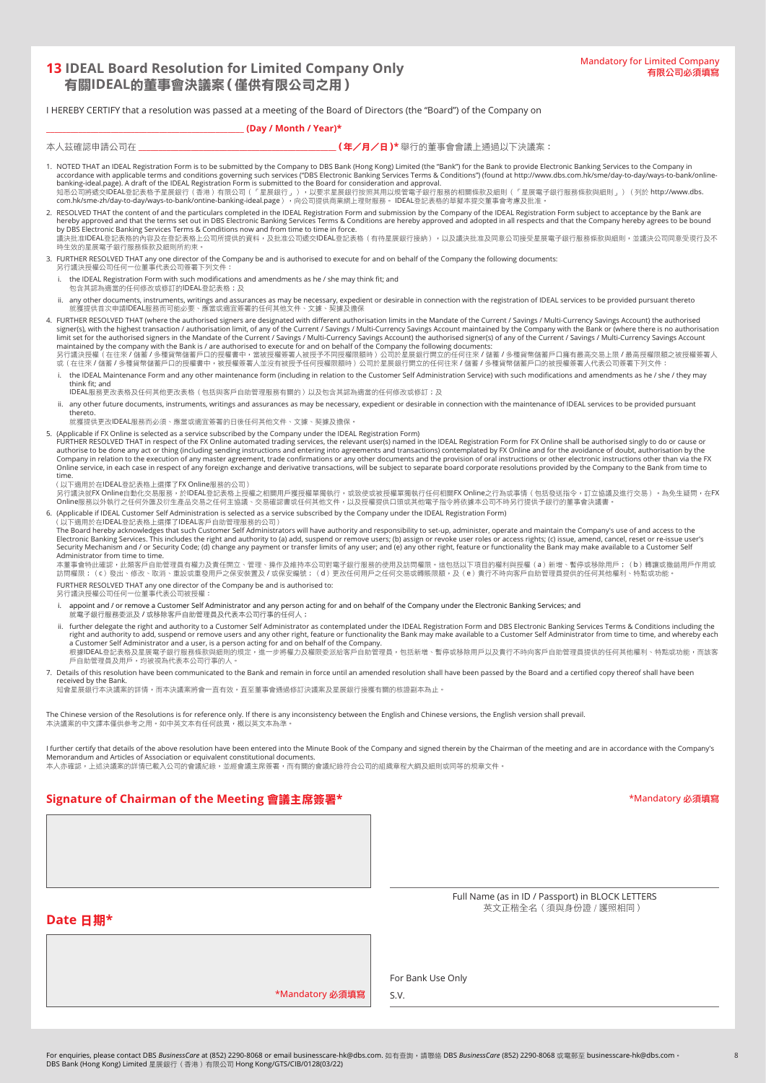# **13 IDEAL Board Resolution for Limited Company Only** 有關**IDEAL**的董事會決議案(僅供有限公司之用)

I HEREBY CERTIFY that a resolution was passed at a meeting of the Board of Directors (the "Board") of the Company on

# \_\_\_\_\_\_\_\_\_\_\_\_\_\_\_\_\_\_\_\_\_\_\_\_\_\_\_\_\_\_\_\_\_\_\_\_\_\_\_\_\_\_\_\_\_\_\_\_\_ **(Day / Month / Year)\***

ҏΡ૭ጂᇯҧ請公司ӵ \_\_\_\_\_\_\_\_\_\_\_\_\_\_\_\_\_\_\_\_\_\_\_\_\_\_\_\_\_\_\_\_\_\_\_\_\_\_\_\_\_\_\_\_\_\_\_\_\_(年/月/日)**\*** ᖞ行ޟီٱོོដΰႆоήؚដਰȈ

| 1. NOTED THAT an IDEAL Registration Form is to be submitted by the Company to DBS Bank (Hong Kong) Limited (the "Bank") for the Bank to provide Electronic Banking Services to the Company in<br>accordance with applicable terms and conditions governing such services ("DBS Electronic Banking Services Terms & Conditions") (found at http://www.dbs.com.hk/sme/day-to-day/ways-to-bank/online-<br>banking-ideal.page). A draft of the IDEAL Registration Form is submitted to the Board for consideration and approval.<br>知悉公司將遞交IDEAL登記表格予星展銀行(香港)有限公司(「星展銀行」),以要求星展銀行按照其用以規管電子銀行服務的相關條款及細則(「星展電子銀行服務條款與細則」)(列於 http://www.dbs.<br>com.hk/sme-zh/day-to-day/ways-to-bank/ontine-banking-ideal.page),向公司提供商業網上理財服務。IDEAL登記表格的草擬本提交董事會考慮及批准。                                                                                                                                                                                                                                                                                              |
|------------------------------------------------------------------------------------------------------------------------------------------------------------------------------------------------------------------------------------------------------------------------------------------------------------------------------------------------------------------------------------------------------------------------------------------------------------------------------------------------------------------------------------------------------------------------------------------------------------------------------------------------------------------------------------------------------------------------------------------------------------------------------------------------------------------------------------------------------------------------------------------------------------------------------------------------------------------------------------------------------------------------------------------------|
| 2. RESOLVED THAT the content of and the particulars completed in the IDEAL Registration Form and submission by the Company of the IDEAL Registration Form subject to acceptance by the Bank are<br>hereby approved and that the terms set out in DBS Electronic Banking Services Terms & Conditions are hereby approved and adopted in all respects and that the Company hereby agrees to be bound<br>by DBS Electronic Banking Services Terms & Conditions now and from time to time in force.<br>議決批准IDEAL登記表格的內容及在登記表格上公司所提供的資料,及批准公司遞交IDEAL登記表格(有待星展銀行接納),以及議決批准及同意公司接受星展電子銀行服務條款與細則,並議決公司同意受現行及不<br>時生效的星展電子銀行服務條款及細則所約束。                                                                                                                                                                                                                                                                                                                                                                                                                 |
| 3. FURTHER RESOLVED THAT any one director of the Company be and is authorised to execute for and on behalf of the Company the following documents:<br>另行議決授權公司任何一位董事代表公司簽署下列文件:                                                                                                                                                                                                                                                                                                                                                                                                                                                                                                                                                                                                                                                                                                                                                                                                                                                                |
| i. the IDEAL Registration Form with such modifications and amendments as he / she may think fit; and<br>包含其認為適當的仟何修改或修訂的IDEAL登記表格;及                                                                                                                                                                                                                                                                                                                                                                                                                                                                                                                                                                                                                                                                                                                                                                                                                                                                                                            |
| ii. any other documents, instruments, writings and assurances as may be necessary, expedient or desirable in connection with the registration of IDEAL services to be provided pursuant thereto<br>就獲提供首次申請IDEAL服務而可能必要、應當或適宜簽署的任何其他文件、文據、契據及擔保                                                                                                                                                                                                                                                                                                                                                                                                                                                                                                                                                                                                                                                                                                                                                                                                |
| 4. FURTHER RESOLVED THAT (where the authorised signers are designated with different authorisation limits in the Mandate of the Current / Savings / Multi-Currency Savings Account) the authorised<br>signer(s), with the highest transaction / authorisation limit, of any of the Current / Savings / Multi-Currency Savings Account maintained by the Company with the Bank or (where there is no authorisation<br>limit set for the authorised signers in the Mandate of the Current / Savings / Multi-Currency Savings Account) the authorised signer(s) of any of the Current / Savings / Multi-Currency Savings Account<br>maintained by the company with the Bank is / are authorised to execute for and on behalf of the Company the following documents:<br>另行議決授權(在往來/儲蓄/多種貨幣儲蓄戶口的授權書中,當被授權簽署人被授予不同授權限額時)公司於星展銀行開立的任何往來/儲蓄/多種貨幣儲蓄戶口擁有最高交易上限/最高授權限額之被授權簽署人<br>或(在往來/儲蓄/多種貨幣儲蓄戶口的授權書中,被授權簽署人並沒有被授予任何授權限額時)公司於星展銀行開立的任何往來/儲蓄/多種貨幣儲蓄戶口的被授權簽署人代表公司簽署下列文件:                                                                                 |
| i. the IDEAL Maintenance Form and any other maintenance form (including in relation to the Customer Self Administration Service) with such modifications and amendments as he / she / they may<br>think fit: and<br>IDEAL服務更改表格及任何其他更改表格 (包括與客戶自助管理服務有關的)以及包含其認為適當的任何修改或修訂; 及                                                                                                                                                                                                                                                                                                                                                                                                                                                                                                                                                                                                                                                                                                                                                                  |
| ii. any other future documents, instruments, writings and assurances as may be necessary, expedient or desirable in connection with the maintenance of IDEAL services to be provided pursuant                                                                                                                                                                                                                                                                                                                                                                                                                                                                                                                                                                                                                                                                                                                                                                                                                                                  |
| thereto.<br>就獲提供更改IDEAL服務而必須、應當或適宜簽署的日後任何其他文件、文據、契據及擔保。                                                                                                                                                                                                                                                                                                                                                                                                                                                                                                                                                                                                                                                                                                                                                                                                                                                                                                                                                                                        |
| 5. (Applicable if FX Online is selected as a service subscribed by the Company under the IDEAL Registration Form)<br>FURTHER RESOLVED THAT in respect of the FX Online automated trading services, the relevant user(s) named in the IDEAL Registration Form for FX Online shall be authorised singly to do or cause or<br>authorise to be done any act or thing (including sending instructions and entering into agreements and transactions) contemplated by FX Online and for the avoidance of doubt, authorisation by the<br>Company in relation to the execution of any master agreement, trade confirmations or any other documents and the provision of oral instructions or other electronic instructions other than via the FX<br>Online service, in each case in respect of any foreign exchange and derivative transactions, will be subject to separate board corporate resolutions provided by the Company to the Bank from time to<br>time.<br>(以下適用於在IDEAL登記表格上選擇了FX Online服務的公司)                                              |
| 另行議決就FX Online自動化交易服務,於IDEAL登記表格上授權之相關用戶獲授權單獨執行,或致使或被授權單獨執行任何相關FX Online之行為或事情(包括發送指令,訂立協議及進行交易)。為免生疑問,在FX<br>Online服務以外執行之任何外匯及衍生產品交易之任何主協議、交易確認書或任何其他文件,以及授權提供口頭或其他電子指令將依據本公司不時另行提供予銀行的董事會決議書。                                                                                                                                                                                                                                                                                                                                                                                                                                                                                                                                                                                                                                                                                                                                                                                                                                               |
| 6. (Applicable if IDEAL Customer Self Administration is selected as a service subscribed by the Company under the IDEAL Registration Form)<br>(以下適用於在IDEAL登記表格上選擇了IDEAL客戶自助管理服務的公司)<br>The Board hereby acknowledges that such Customer Self Administrators will have authority and responsibility to set-up, administer, operate and maintain the Company's use of and access to the<br>Electronic Banking Services. This includes the right and authority to (a) add, suspend or remove users; (b) assign or revoke user roles or access rights; (c) issue, amend, cancel, reset or re-issue user's<br>Security Mechanism and / or Security Code; (d) change any payment or transfer limits of any user; and (e) any other right, feature or functionality the Bank may make available to a Customer Self<br>Administrator from time to time.<br>本董事會特此確認,此類客戶自助管理員有權力及責任開立、管理、操作及維持本公司對電子銀行服務的使用及訪問權限。這包括以下項目的權利與授權(a)新增、暫停或移除用戶;(b)轉讓或撤銷用戶作用或<br>訪問權限;(c)發出、修改、取消、重設或重發用戶之保安裝置及/或保安編號;(d)更改任何用戶之任何交易或轉賬限額,及(e)貴行不時向客戶自助管理員提供的任何其他權利、特點或功能。 |
| FURTHER RESOLVED THAT any one director of the Company be and is authorised to:<br>另行議決授權公司任何一位董事代表公司被授權:                                                                                                                                                                                                                                                                                                                                                                                                                                                                                                                                                                                                                                                                                                                                                                                                                                                                                                                                       |
| i. appoint and / or remove a Customer Self Administrator and any person acting for and on behalf of the Company under the Electronic Banking Services; and<br>就電子銀行服務委派及 / 或移除客戶自助管理員及代表本公司行事的任何人;                                                                                                                                                                                                                                                                                                                                                                                                                                                                                                                                                                                                                                                                                                                                                                                                                                             |
| ii. further delegate the right and authority to a Customer Self Administrator as contemplated under the IDEAL Registration Form and DBS Electronic Banking Services Terms & Conditions including the<br>right and authority to add, suspend or remove users and any other right, feature or functionality the Bank may make available to a Customer Self Administrator from time to time, and whereby each<br>a Customer Self Administrator and a user, is a person acting for and on behalf of the Company.<br>根據IDEAL登記表格及星展電子銀行服務條款與細則的規定,進一步將權力及權限委派給客戶自助管理員,包括新增、暫停或移除用戶以及貴行不時向客戶自助管理員提供的任何其他權利、特點或功能,而該客<br>戶自助管理員及用戶,均被視為代表本公司行事的人。                                                                                                                                                                                                                                                                                                                                                                                                     |
| 7. Details of this resolution have been communicated to the Bank and remain in force until an amended resolution shall have been passed by the Board and a certified copy thereof shall have been<br>received by the Bank.<br>知會星展銀行本決議案的詳情,而本決議案將會一直有效,直至董事會通過修訂決議案及星展銀行接獲有關的核證副本為止。                                                                                                                                                                                                                                                                                                                                                                                                                                                                                                                                                                                                                                                                                                                                                          |
| The Chinese version of the Resolutions is for reference only. If there is any inconsistency between the English and Chinese versions, the English version shall prevail.<br>本決議案的中文譯本僅供參考之用。如中英文本有任何歧異,概以英文本為準。                                                                                                                                                                                                                                                                                                                                                                                                                                                                                                                                                                                                                                                                                                                                                                                                                                |

I further certify that details of the above resolution have been entered into the Minute Book of the Company and signed therein by the Chairman of the meeting and are in accordance with the Company's Memorandum and Articles of Association or equivalent constitutional documents.<br>本人亦確認,上述決議案的詳情已載入公司的會議紀錄,並經會議主席簽署,而有關的會議紀錄符合公司的組織章程大綱及細則或同等的規章文件。

# **Signature of Chairman of the Meeting** 會議主席簽署**\***

\*Mandatory 必須填寫

**Date** 日期**\***

\*Mandatory 必須填寫

Full Name (as in ID / Passport) in BLOCK LETTERS тие (аз тивит азврого, тив весок сети.<br>英文正楷全名 (須與身份證 / 護照相同)

For Bank Use Only

S.V.